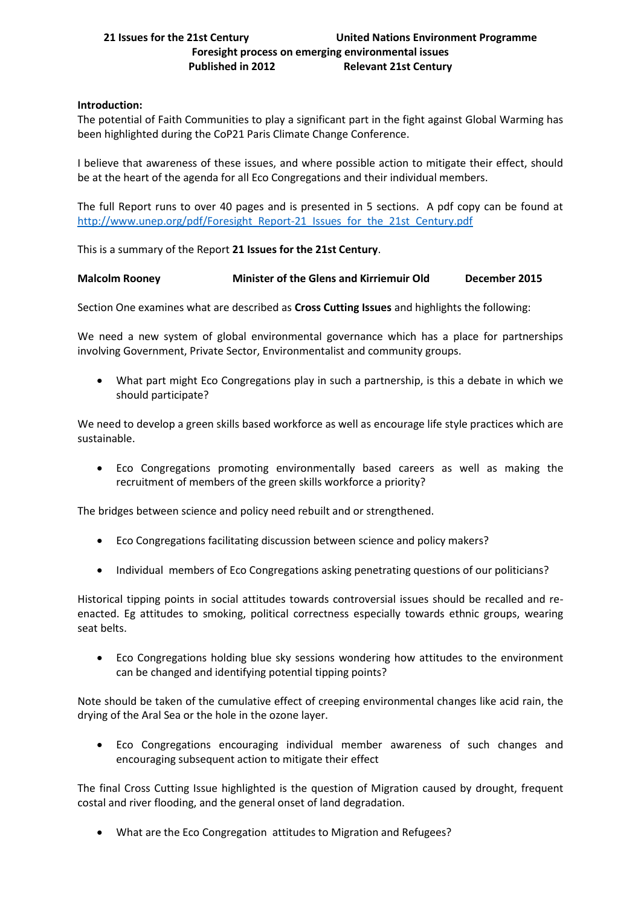# **Introduction:**

The potential of Faith Communities to play a significant part in the fight against Global Warming has been highlighted during the CoP21 Paris Climate Change Conference.

I believe that awareness of these issues, and where possible action to mitigate their effect, should be at the heart of the agenda for all Eco Congregations and their individual members.

The full Report runs to over 40 pages and is presented in 5 sections. A pdf copy can be found at [http://www.unep.org/pdf/Foresight\\_Report-21\\_Issues\\_for\\_the\\_21st\\_Century.pdf](http://www.unep.org/pdf/Foresight_Report-21_Issues_for_the_21st_Century.pdf)

This is a summary of the Report **21 Issues for the 21st Century**.

# **Malcolm Rooney Minister of the Glens and Kirriemuir Old December 2015**

Section One examines what are described as **Cross Cutting Issues** and highlights the following:

We need a new system of global environmental governance which has a place for partnerships involving Government, Private Sector, Environmentalist and community groups.

 What part might Eco Congregations play in such a partnership, is this a debate in which we should participate?

We need to develop a green skills based workforce as well as encourage life style practices which are sustainable.

 Eco Congregations promoting environmentally based careers as well as making the recruitment of members of the green skills workforce a priority?

The bridges between science and policy need rebuilt and or strengthened.

- Eco Congregations facilitating discussion between science and policy makers?
- Individual members of Eco Congregations asking penetrating questions of our politicians?

Historical tipping points in social attitudes towards controversial issues should be recalled and reenacted. Eg attitudes to smoking, political correctness especially towards ethnic groups, wearing seat belts.

 Eco Congregations holding blue sky sessions wondering how attitudes to the environment can be changed and identifying potential tipping points?

Note should be taken of the cumulative effect of creeping environmental changes like acid rain, the drying of the Aral Sea or the hole in the ozone layer.

 Eco Congregations encouraging individual member awareness of such changes and encouraging subsequent action to mitigate their effect

The final Cross Cutting Issue highlighted is the question of Migration caused by drought, frequent costal and river flooding, and the general onset of land degradation.

What are the Eco Congregation attitudes to Migration and Refugees?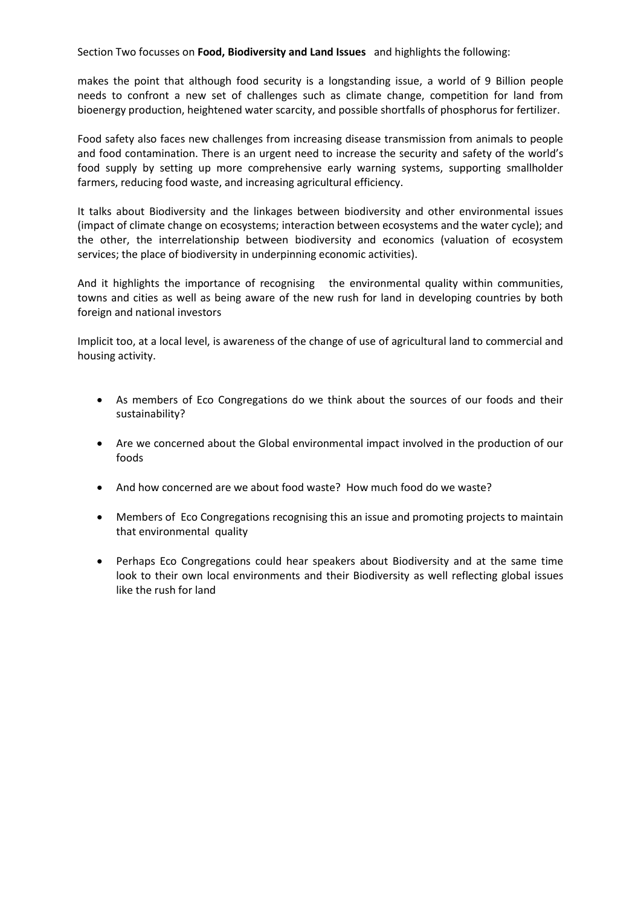Section Two focusses on **Food, Biodiversity and Land Issues** and highlights the following:

makes the point that although food security is a longstanding issue, a world of 9 Billion people needs to confront a new set of challenges such as climate change, competition for land from bioenergy production, heightened water scarcity, and possible shortfalls of phosphorus for fertilizer.

Food safety also faces new challenges from increasing disease transmission from animals to people and food contamination. There is an urgent need to increase the security and safety of the world's food supply by setting up more comprehensive early warning systems, supporting smallholder farmers, reducing food waste, and increasing agricultural efficiency.

It talks about Biodiversity and the linkages between biodiversity and other environmental issues (impact of climate change on ecosystems; interaction between ecosystems and the water cycle); and the other, the interrelationship between biodiversity and economics (valuation of ecosystem services; the place of biodiversity in underpinning economic activities).

And it highlights the importance of recognising the environmental quality within communities, towns and cities as well as being aware of the new rush for land in developing countries by both foreign and national investors

Implicit too, at a local level, is awareness of the change of use of agricultural land to commercial and housing activity.

- As members of Eco Congregations do we think about the sources of our foods and their sustainability?
- Are we concerned about the Global environmental impact involved in the production of our foods
- And how concerned are we about food waste? How much food do we waste?
- Members of Eco Congregations recognising this an issue and promoting projects to maintain that environmental quality
- Perhaps Eco Congregations could hear speakers about Biodiversity and at the same time look to their own local environments and their Biodiversity as well reflecting global issues like the rush for land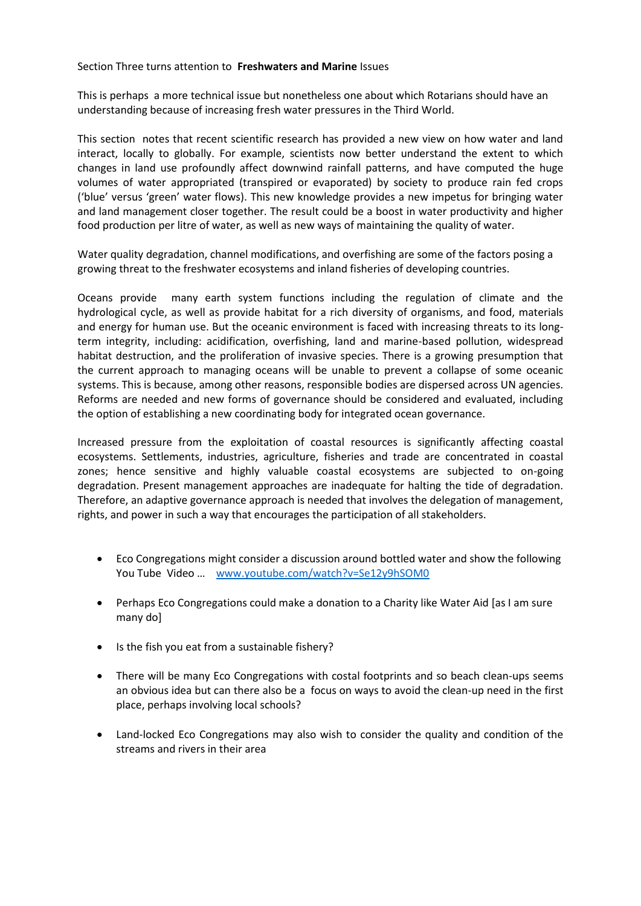## Section Three turns attention to **Freshwaters and Marine** Issues

This is perhaps a more technical issue but nonetheless one about which Rotarians should have an understanding because of increasing fresh water pressures in the Third World.

This section notes that recent scientific research has provided a new view on how water and land interact, locally to globally. For example, scientists now better understand the extent to which changes in land use profoundly affect downwind rainfall patterns, and have computed the huge volumes of water appropriated (transpired or evaporated) by society to produce rain fed crops ('blue' versus 'green' water flows). This new knowledge provides a new impetus for bringing water and land management closer together. The result could be a boost in water productivity and higher food production per litre of water, as well as new ways of maintaining the quality of water.

Water quality degradation, channel modifications, and overfishing are some of the factors posing a growing threat to the freshwater ecosystems and inland fisheries of developing countries.

Oceans provide many earth system functions including the regulation of climate and the hydrological cycle, as well as provide habitat for a rich diversity of organisms, and food, materials and energy for human use. But the oceanic environment is faced with increasing threats to its longterm integrity, including: acidification, overfishing, land and marine-based pollution, widespread habitat destruction, and the proliferation of invasive species. There is a growing presumption that the current approach to managing oceans will be unable to prevent a collapse of some oceanic systems. This is because, among other reasons, responsible bodies are dispersed across UN agencies. Reforms are needed and new forms of governance should be considered and evaluated, including the option of establishing a new coordinating body for integrated ocean governance.

Increased pressure from the exploitation of coastal resources is significantly affecting coastal ecosystems. Settlements, industries, agriculture, fisheries and trade are concentrated in coastal zones; hence sensitive and highly valuable coastal ecosystems are subjected to on-going degradation. Present management approaches are inadequate for halting the tide of degradation. Therefore, an adaptive governance approach is needed that involves the delegation of management, rights, and power in such a way that encourages the participation of all stakeholders.

- Eco Congregations might consider a discussion around bottled water and show the following You Tube Video ... [www.youtube.com/watch?v=Se12y9hSOM0](http://www.youtube.com/watch?v=Se12y9hSOM0)
- Perhaps Eco Congregations could make a donation to a Charity like Water Aid [as I am sure many do]
- Is the fish you eat from a sustainable fishery?
- There will be many Eco Congregations with costal footprints and so beach clean-ups seems an obvious idea but can there also be a focus on ways to avoid the clean-up need in the first place, perhaps involving local schools?
- Land-locked Eco Congregations may also wish to consider the quality and condition of the streams and rivers in their area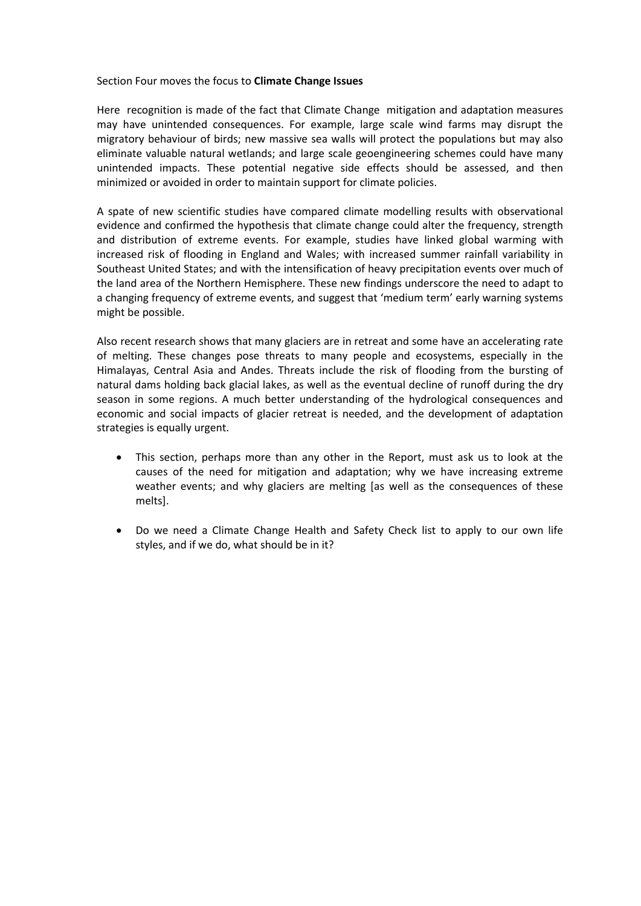#### Section Four moves the focus to **Climate Change Issues**

Here recognition is made of the fact that Climate Change mitigation and adaptation measures may have unintended consequences. For example, large scale wind farms may disrupt the migratory behaviour of birds; new massive sea walls will protect the populations but may also eliminate valuable natural wetlands; and large scale geoengineering schemes could have many unintended impacts. These potential negative side effects should be assessed, and then minimized or avoided in order to maintain support for climate policies.

A spate of new scientific studies have compared climate modelling results with observational evidence and confirmed the hypothesis that climate change could alter the frequency, strength and distribution of extreme events. For example, studies have linked global warming with increased risk of flooding in England and Wales; with increased summer rainfall variability in Southeast United States; and with the intensification of heavy precipitation events over much of the land area of the Northern Hemisphere. These new findings underscore the need to adapt to a changing frequency of extreme events, and suggest that 'medium term' early warning systems might be possible.

Also recent research shows that many glaciers are in retreat and some have an accelerating rate of melting. These changes pose threats to many people and ecosystems, especially in the Himalayas, Central Asia and Andes. Threats include the risk of flooding from the bursting of natural dams holding back glacial lakes, as well as the eventual decline of runoff during the dry season in some regions. A much better understanding of the hydrological consequences and economic and social impacts of glacier retreat is needed, and the development of adaptation strategies is equally urgent.

- This section, perhaps more than any other in the Report, must ask us to look at the causes of the need for mitigation and adaptation; why we have increasing extreme weather events; and why glaciers are melting [as well as the consequences of these melts].
- Do we need a Climate Change Health and Safety Check list to apply to our own life styles, and if we do, what should be in it?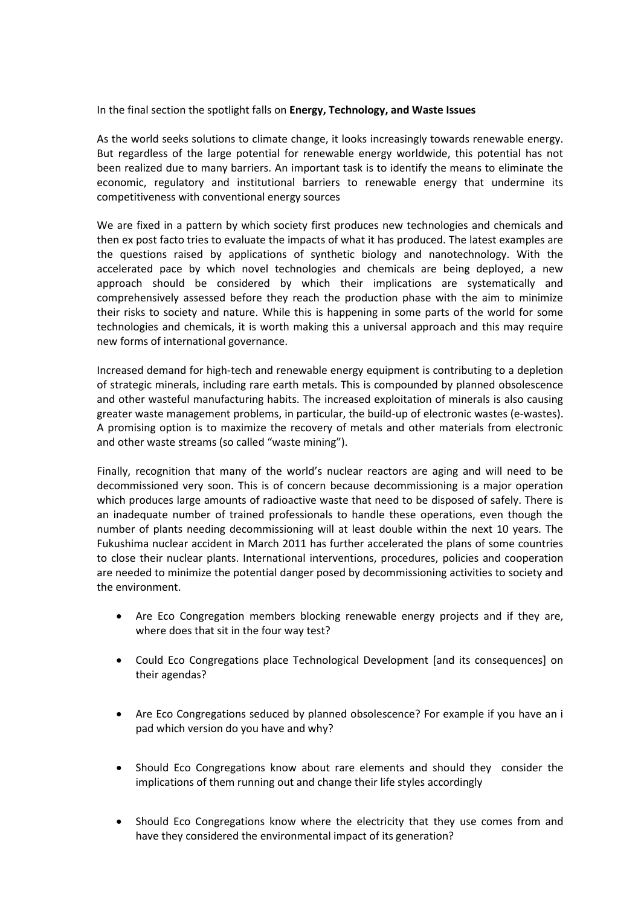## In the final section the spotlight falls on **Energy, Technology, and Waste Issues**

As the world seeks solutions to climate change, it looks increasingly towards renewable energy. But regardless of the large potential for renewable energy worldwide, this potential has not been realized due to many barriers. An important task is to identify the means to eliminate the economic, regulatory and institutional barriers to renewable energy that undermine its competitiveness with conventional energy sources

We are fixed in a pattern by which society first produces new technologies and chemicals and then ex post facto tries to evaluate the impacts of what it has produced. The latest examples are the questions raised by applications of synthetic biology and nanotechnology. With the accelerated pace by which novel technologies and chemicals are being deployed, a new approach should be considered by which their implications are systematically and comprehensively assessed before they reach the production phase with the aim to minimize their risks to society and nature. While this is happening in some parts of the world for some technologies and chemicals, it is worth making this a universal approach and this may require new forms of international governance.

Increased demand for high-tech and renewable energy equipment is contributing to a depletion of strategic minerals, including rare earth metals. This is compounded by planned obsolescence and other wasteful manufacturing habits. The increased exploitation of minerals is also causing greater waste management problems, in particular, the build-up of electronic wastes (e-wastes). A promising option is to maximize the recovery of metals and other materials from electronic and other waste streams (so called "waste mining").

Finally, recognition that many of the world's nuclear reactors are aging and will need to be decommissioned very soon. This is of concern because decommissioning is a major operation which produces large amounts of radioactive waste that need to be disposed of safely. There is an inadequate number of trained professionals to handle these operations, even though the number of plants needing decommissioning will at least double within the next 10 years. The Fukushima nuclear accident in March 2011 has further accelerated the plans of some countries to close their nuclear plants. International interventions, procedures, policies and cooperation are needed to minimize the potential danger posed by decommissioning activities to society and the environment.

- Are Eco Congregation members blocking renewable energy projects and if they are, where does that sit in the four way test?
- Could Eco Congregations place Technological Development [and its consequences] on their agendas?
- Are Eco Congregations seduced by planned obsolescence? For example if you have an i pad which version do you have and why?
- Should Eco Congregations know about rare elements and should they consider the implications of them running out and change their life styles accordingly
- Should Eco Congregations know where the electricity that they use comes from and have they considered the environmental impact of its generation?